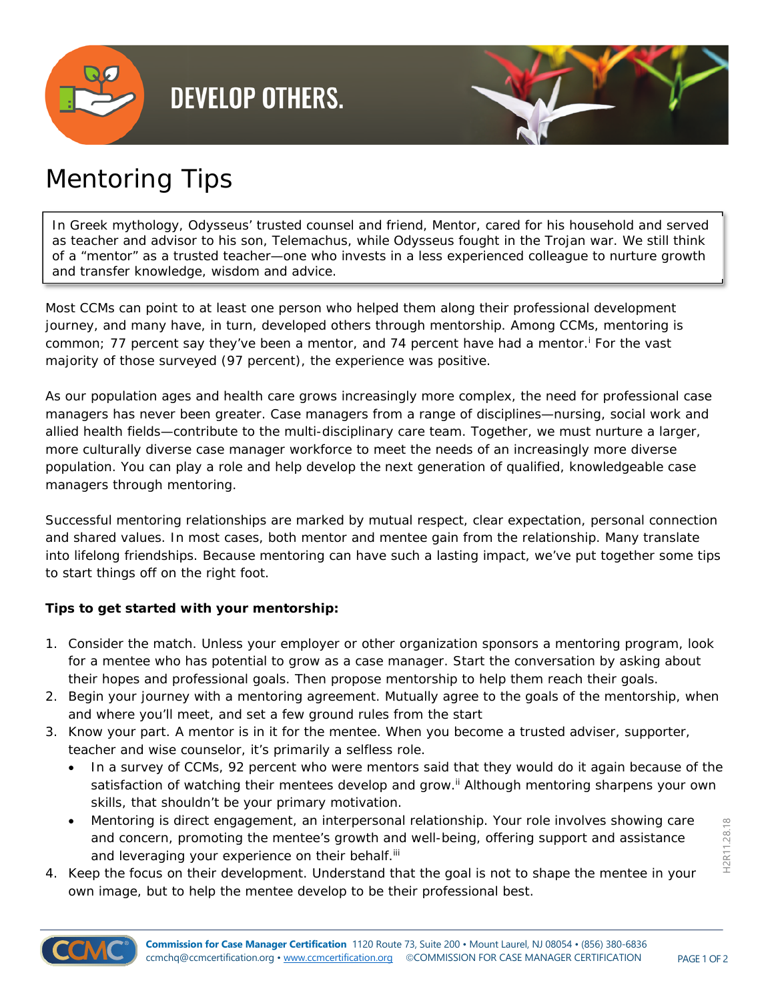

## **DEVELOP OTHERS.**



## Mentoring Tips

In Greek mythology, Odysseus' trusted counsel and friend, Mentor, cared for his household and served as teacher and advisor to his son, Telemachus, while Odysseus fought in the Trojan war. We still think of a "mentor" as a trusted teacher—one who invests in a less experienced colleague to nurture growth and transfer knowledge, wisdom and advice.

Most CCMs can point to at least one person who helped them along their professional development journey, and many have, in turn, developed others through mentorship. Among CCMs, mentoring is common; 77 percent say they've been a mentor, and 74 percent have had a mentor.<sup>i</sup> For the vast majority of those surveyed (97 percent), the experience was positive.

As our population ages and health care grows increasingly more complex, the need for professional case managers has never been greater. Case managers from a range of disciplines—nursing, social work and allied health fields—contribute to the multi-disciplinary care team. Together, we must nurture a larger, more culturally diverse case manager workforce to meet the needs of an increasingly more diverse population. You can play a role and help develop the next generation of qualified, knowledgeable case managers through mentoring.

Successful mentoring relationships are marked by mutual respect, clear expectation, personal connection and shared values. In most cases, both mentor and mentee gain from the relationship. Many translate into lifelong friendships. Because mentoring can have such a lasting impact, we've put together some tips to start things off on the right foot.

## **Tips to get started with your mentorship:**

- 1. Consider the match. Unless your employer or other organization sponsors a mentoring program, look for a mentee who has potential to grow as a case manager. Start the conversation by asking about their hopes and professional goals. Then propose mentorship to help them reach their goals.
- 2. Begin your journey with a mentoring agreement. Mutually agree to the goals of the mentorship, when and where you'll meet, and set a few ground rules from the start
- 3. Know your part. A mentor is in it for the mentee. When you become a trusted adviser, supporter, teacher and wise counselor, it's primarily a selfless role.
	- In a survey of CCMs, 92 percent who were mentors said that they would do it again because of the satisfaction of watching their mentees develop and grow.<sup>ii</sup> Although mentoring sharpens your own skills, that shouldn't be your primary motivation.
	- Mentoring is direct engagement, an interpersonal relationship. Your role involves showing care and concern, promoting the mentee's growth and well-being, offering support and assistance and leveraging your experience on their behalf.<sup>iii</sup>
- 4. Keep the focus on *their* development. Understand that the goal is not to shape the mentee in your own image, but to help the mentee develop to be *their* professional best.